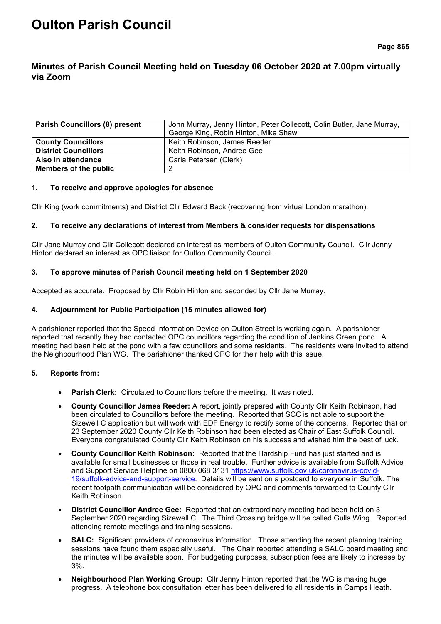# **Oulton Parish Council**

**Page 865**

## **Minutes of Parish Council Meeting held on Tuesday 06 October 2020 at 7.00pm virtually via Zoom**

| <b>Parish Councillors (8) present</b> | John Murray, Jenny Hinton, Peter Collecott, Colin Butler, Jane Murray, |  |
|---------------------------------------|------------------------------------------------------------------------|--|
|                                       | George King, Robin Hinton, Mike Shaw                                   |  |
| <b>County Councillors</b>             | Keith Robinson, James Reeder                                           |  |
| <b>District Councillors</b>           | Keith Robinson, Andree Gee                                             |  |
| Also in attendance                    | Carla Petersen (Clerk)                                                 |  |
| <b>Members of the public</b>          |                                                                        |  |

#### **1. To receive and approve apologies for absence**

Cllr King (work commitments) and District Cllr Edward Back (recovering from virtual London marathon).

## **2. To receive any declarations of interest from Members & consider requests for dispensations**

Cllr Jane Murray and Cllr Collecott declared an interest as members of Oulton Community Council. Cllr Jenny Hinton declared an interest as OPC liaison for Oulton Community Council.

## **3. To approve minutes of Parish Council meeting held on 1 September 2020**

Accepted as accurate. Proposed by Cllr Robin Hinton and seconded by Cllr Jane Murray.

## **4. Adjournment for Public Participation (15 minutes allowed for)**

A parishioner reported that the Speed Information Device on Oulton Street is working again. A parishioner reported that recently they had contacted OPC councillors regarding the condition of Jenkins Green pond. A meeting had been held at the pond with a few councillors and some residents. The residents were invited to attend the Neighbourhood Plan WG. The parishioner thanked OPC for their help with this issue.

## **5. Reports from:**

- Parish Clerk: Circulated to Councillors before the meeting. It was noted.
- **County Councillor James Reeder:** A report, jointly prepared with County Cllr Keith Robinson, had been circulated to Councillors before the meeting. Reported that SCC is not able to support the Sizewell C application but will work with EDF Energy to rectify some of the concerns. Reported that on 23 September 2020 County Cllr Keith Robinson had been elected as Chair of East Suffolk Council. Everyone congratulated County Cllr Keith Robinson on his success and wished him the best of luck.
- **County Councillor Keith Robinson:** Reported that the Hardship Fund has just started and is available for small businesses or those in real trouble. Further advice is available from Suffolk Advice and Support Service Helpline on 0800 068 3131 [https://www.suffolk.gov.uk/coronavirus-covid-](https://www.suffolk.gov.uk/coronavirus-covid-19/suffolk-advice-and-support-service)[19/suffolk-advice-and-support-service.](https://www.suffolk.gov.uk/coronavirus-covid-19/suffolk-advice-and-support-service) Details will be sent on a postcard to everyone in Suffolk. The recent footpath communication will be considered by OPC and comments forwarded to County Cllr Keith Robinson.
- **District Councillor Andree Gee:** Reported that an extraordinary meeting had been held on 3 September 2020 regarding Sizewell C. The Third Crossing bridge will be called Gulls Wing. Reported attending remote meetings and training sessions.
- **SALC:** Significant providers of coronavirus information. Those attending the recent planning training sessions have found them especially useful. The Chair reported attending a SALC board meeting and the minutes will be available soon. For budgeting purposes, subscription fees are likely to increase by 3%.
- **Neighbourhood Plan Working Group:** Cllr Jenny Hinton reported that the WG is making huge progress. A telephone box consultation letter has been delivered to all residents in Camps Heath.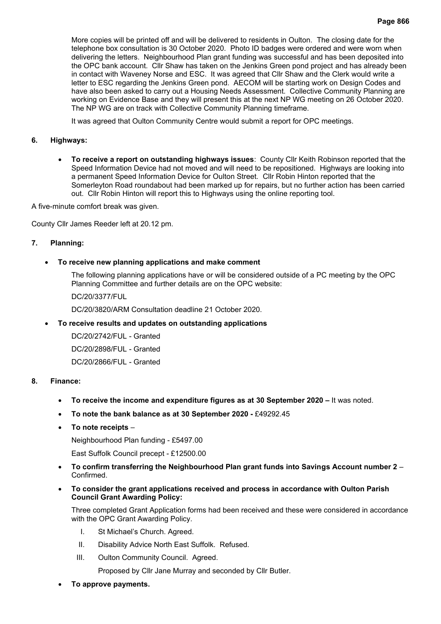More copies will be printed off and will be delivered to residents in Oulton. The closing date for the telephone box consultation is 30 October 2020. Photo ID badges were ordered and were worn when delivering the letters. Neighbourhood Plan grant funding was successful and has been deposited into the OPC bank account. Cllr Shaw has taken on the Jenkins Green pond project and has already been in contact with Waveney Norse and ESC. It was agreed that Cllr Shaw and the Clerk would write a letter to ESC regarding the Jenkins Green pond. AECOM will be starting work on Design Codes and have also been asked to carry out a Housing Needs Assessment. Collective Community Planning are working on Evidence Base and they will present this at the next NP WG meeting on 26 October 2020. The NP WG are on track with Collective Community Planning timeframe.

It was agreed that Oulton Community Centre would submit a report for OPC meetings.

#### **6. Highways:**

• **To receive a report on outstanding highways issues**:County Cllr Keith Robinson reported that the Speed Information Device had not moved and will need to be repositioned. Highways are looking into a permanent Speed Information Device for Oulton Street.Cllr Robin Hinton reported that the Somerleyton Road roundabout had been marked up for repairs, but no further action has been carried out. Cllr Robin Hinton will report this to Highways using the online reporting tool.

A five-minute comfort break was given.

County Cllr James Reeder left at 20.12 pm.

#### **7. Planning:**

#### • **To receive new planning applications and make comment**

The following planning applications have or will be considered outside of a PC meeting by the OPC Planning Committee and further details are on the OPC website:

DC/20/3377/FUL

DC/20/3820/ARM Consultation deadline 21 October 2020.

• **To receive results and updates on outstanding applications**

DC/20/2742/FUL - Granted DC/20/2898/FUL - Granted DC/20/2866/FUL - Granted

## **8. Finance:**

- **To receive the income and expenditure figures as at 30 September 2020 –** It was noted.
- **To note the bank balance as at 30 September 2020 -** £49292.45
- **To note receipts** –

Neighbourhood Plan funding - £5497.00

East Suffolk Council precept - £12500.00

- **To confirm transferring the Neighbourhood Plan grant funds into Savings Account number 2** Confirmed.
- **To consider the grant applications received and process in accordance with Oulton Parish Council Grant Awarding Policy:**

Three completed Grant Application forms had been received and these were considered in accordance with the OPC Grant Awarding Policy.

- I. St Michael's Church. Agreed.
- II. Disability Advice North East Suffolk. Refused.
- III. Oulton Community Council. Agreed.

Proposed by Cllr Jane Murray and seconded by Cllr Butler.

• **To approve payments.**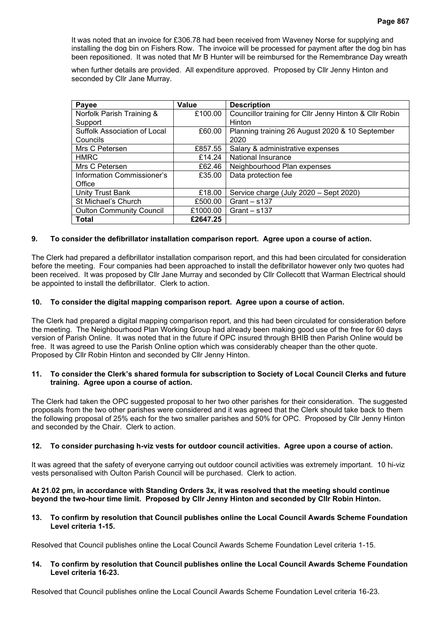It was noted that an invoice for £306.78 had been received from Waveney Norse for supplying and installing the dog bin on Fishers Row. The invoice will be processed for payment after the dog bin has been repositioned. It was noted that Mr B Hunter will be reimbursed for the Remembrance Day wreath

when further details are provided. All expenditure approved. Proposed by Cllr Jenny Hinton and seconded by Cllr Jane Murray.

| Payee                           | Value    | <b>Description</b>                                     |
|---------------------------------|----------|--------------------------------------------------------|
| Norfolk Parish Training &       | £100.00  | Councillor training for Cllr Jenny Hinton & Cllr Robin |
| Support                         |          | Hinton                                                 |
| Suffolk Association of Local    | £60.00   | Planning training 26 August 2020 & 10 September        |
| Councils                        |          | 2020                                                   |
| Mrs C Petersen                  | £857.55  | Salary & administrative expenses                       |
| <b>HMRC</b>                     | £14.24   | National Insurance                                     |
| Mrs C Petersen                  | £62.46   | Neighbourhood Plan expenses                            |
| Information Commissioner's      | £35.00   | Data protection fee                                    |
| Office                          |          |                                                        |
| Unity Trust Bank                | £18.00   | Service charge (July 2020 - Sept 2020)                 |
| St Michael's Church             | £500.00  | Grant $-$ s137                                         |
| <b>Oulton Community Council</b> | £1000.00 | Grant $-$ s137                                         |
| <b>Total</b>                    | £2647.25 |                                                        |

#### **9. To consider the defibrillator installation comparison report. Agree upon a course of action.**

The Clerk had prepared a defibrillator installation comparison report, and this had been circulated for consideration before the meeting. Four companies had been approached to install the defibrillator however only two quotes had been received. It was proposed by Cllr Jane Murray and seconded by Cllr Collecott that Warman Electrical should be appointed to install the defibrillator. Clerk to action.

#### **10. To consider the digital mapping comparison report. Agree upon a course of action.**

The Clerk had prepared a digital mapping comparison report, and this had been circulated for consideration before the meeting. The Neighbourhood Plan Working Group had already been making good use of the free for 60 days version of Parish Online. It was noted that in the future if OPC insured through BHIB then Parish Online would be free. It was agreed to use the Parish Online option which was considerably cheaper than the other quote. Proposed by Cllr Robin Hinton and seconded by Cllr Jenny Hinton.

#### **11. To consider the Clerk's shared formula for subscription to Society of Local Council Clerks and future training. Agree upon a course of action.**

The Clerk had taken the OPC suggested proposal to her two other parishes for their consideration. The suggested proposals from the two other parishes were considered and it was agreed that the Clerk should take back to them the following proposal of 25% each for the two smaller parishes and 50% for OPC. Proposed by Cllr Jenny Hinton and seconded by the Chair. Clerk to action.

#### **12. To consider purchasing h-viz vests for outdoor council activities. Agree upon a course of action.**

It was agreed that the safety of everyone carrying out outdoor council activities was extremely important. 10 hi-viz vests personalised with Oulton Parish Council will be purchased. Clerk to action.

#### **At 21.02 pm, in accordance with Standing Orders 3x, it was resolved that the meeting should continue beyond the two-hour time limit. Proposed by Cllr Jenny Hinton and seconded by Cllr Robin Hinton.**

#### **13. To confirm by resolution that Council publishes online the Local Council Awards Scheme Foundation Level criteria 1-15.**

Resolved that Council publishes online the Local Council Awards Scheme Foundation Level criteria 1-15.

#### **14. To confirm by resolution that Council publishes online the Local Council Awards Scheme Foundation Level criteria 16-23.**

Resolved that Council publishes online the Local Council Awards Scheme Foundation Level criteria 16-23.